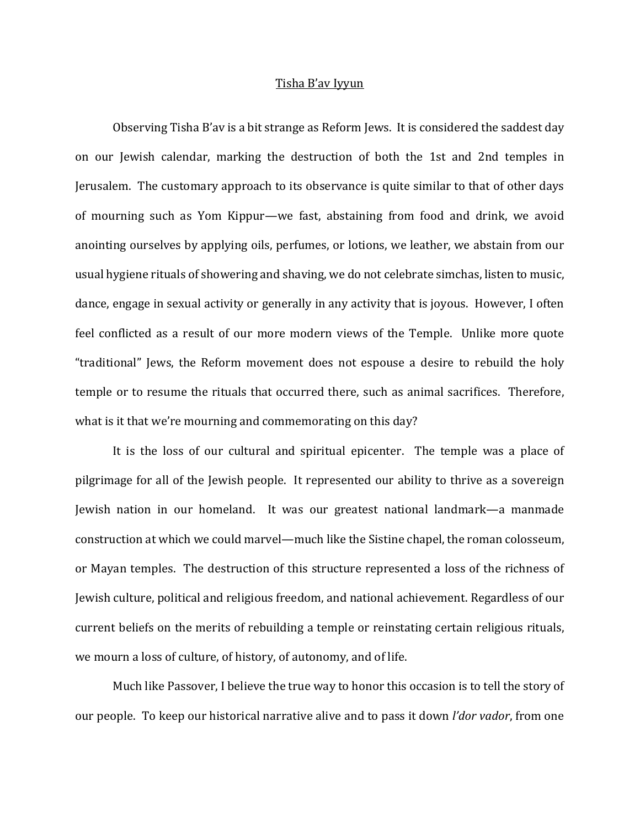## Tisha B'av Iyyun

Observing Tisha B'av is a bit strange as Reform Jews. It is considered the saddest day on our Jewish calendar, marking the destruction of both the 1st and 2nd temples in Jerusalem. The customary approach to its observance is quite similar to that of other days of mourning such as Yom Kippur—we fast, abstaining from food and drink, we avoid anointing ourselves by applying oils, perfumes, or lotions, we leather, we abstain from our usual hygiene rituals of showering and shaving, we do not celebrate simchas, listen to music, dance, engage in sexual activity or generally in any activity that is joyous. However, I often feel conflicted as a result of our more modern views of the Temple. Unlike more quote "traditional" Jews, the Reform movement does not espouse a desire to rebuild the holy temple or to resume the rituals that occurred there, such as animal sacrifices. Therefore, what is it that we're mourning and commemorating on this day?

It is the loss of our cultural and spiritual epicenter. The temple was a place of pilgrimage for all of the Jewish people. It represented our ability to thrive as a sovereign Jewish nation in our homeland. It was our greatest national landmark—a manmade construction at which we could marvel—much like the Sistine chapel, the roman colosseum, or Mayan temples. The destruction of this structure represented a loss of the richness of Jewish culture, political and religious freedom, and national achievement. Regardless of our current beliefs on the merits of rebuilding a temple or reinstating certain religious rituals, we mourn a loss of culture, of history, of autonomy, and of life.

Much like Passover, I believe the true way to honor this occasion is to tell the story of our people. To keep our historical narrative alive and to pass it down *l'dor vador*, from one